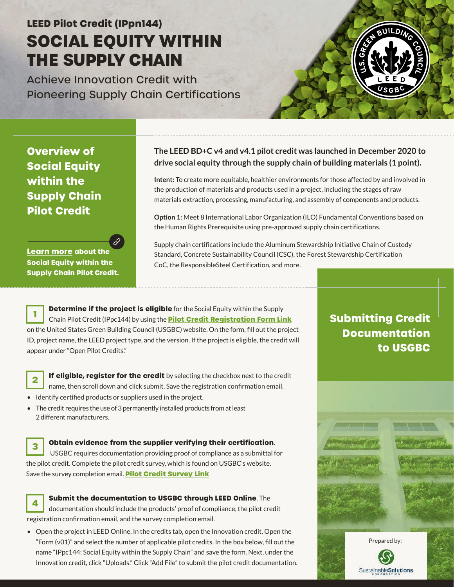# **LEED Pilot Credit (IPpn144) SOCIAL EQUITY WITHIN THE SUPPLY CHAIN**

Achieve Innovation Credit with Pioneering Supply Chain Certifications



**Overview of Social Equity within the Supply Chain Pilot Credit**

**Learn more about the Social Equity within the [Supply Chain Pilot Credit.](https://www.usgbc.org/credits/IPpc144-v41?return=/credits/New%20Construction/v4.1)**

#### **The LEED BD+C v4 and v4.1 pilot credit was launched in December 2020 to drive social equity through the supply chain of building materials (1 point).**

**Intent:** To create more equitable, healthier environments for those affected by and involved in the production of materials and products used in a project, including the stages of raw materials extraction, processing, manufacturing, and assembly of components and products.

**Option 1:** Meet 8 International Labor Organization (ILO) Fundamental Conventions based on the Human Rights Prerequisite using pre-approved supply chain certifications.

Supply chain certifications include the Aluminum Stewardship Initiative Chain of Custody Standard, Concrete Sustainability Council (CSC), the Forest Stewardship Certification CoC, the ResponsibleSteel Certification, and more.

**Determine if the project is eligible** for the Social Equity within the Supply Chain Pilot Credit (IPpc144) by using the **[Pilot Credit Registration Form Link](https://www.usgbc.org/pilot-credit-registration)** on the United States Green Building Council (USGBC) website. On the form, fill out the project ID, project name, the LEED project type, and the version. If the project is eligible, the credit will appear under "Open Pilot Credits." **1**

**If eligible, register for the credit** by selecting the checkbox next to the credit name, then scroll down and click submit. Save the registration confirmation email.

- Identify certified products or suppliers used in the project.
- The credit requires the use of 3 permanently installed products from at least 2 different manufacturers.

#### **Obtain evidence from the supplier verifying their certification**.

 USGBC requires documentation providing proof of compliance as a submittal for the pilot credit. Complete the pilot credit survey, which is found on USGBC's website. Save the survey completion email. **[Pilot Credit Survey Link](https://usgbc.wufoo.com/forms/q23bo7103l93pg/) 3**



**Submit the documentation to USGBC through LEED Online**. The

documentation should include the products' proof of compliance, the pilot credit registration confirmation email, and the survey completion email.

• Open the project in LEED Online. In the credits tab, open the Innovation credit. Open the "Form (v01)" and select the number of applicable pilot credits. In the box below, fill out the name "IPpc144: Social Equity within the Supply Chain" and save the form. Next, under the Innovation credit, click "Uploads." Click "Add File" to submit the pilot credit documentation.

### **Submitting Credit Documentation to USGBC**